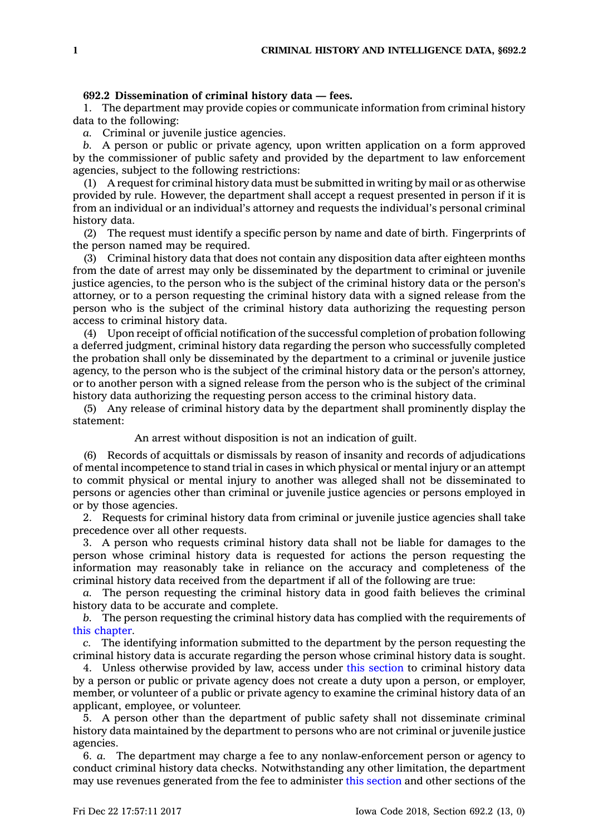## **692.2 Dissemination of criminal history data — fees.**

1. The department may provide copies or communicate information from criminal history data to the following:

*a.* Criminal or juvenile justice agencies.

*b.* A person or public or private agency, upon written application on <sup>a</sup> form approved by the commissioner of public safety and provided by the department to law enforcement agencies, subject to the following restrictions:

(1) A request for criminal history data must be submitted in writing by mail or as otherwise provided by rule. However, the department shall accept <sup>a</sup> request presented in person if it is from an individual or an individual's attorney and requests the individual's personal criminal history data.

(2) The request must identify <sup>a</sup> specific person by name and date of birth. Fingerprints of the person named may be required.

(3) Criminal history data that does not contain any disposition data after eighteen months from the date of arrest may only be disseminated by the department to criminal or juvenile justice agencies, to the person who is the subject of the criminal history data or the person's attorney, or to <sup>a</sup> person requesting the criminal history data with <sup>a</sup> signed release from the person who is the subject of the criminal history data authorizing the requesting person access to criminal history data.

(4) Upon receipt of official notification of the successful completion of probation following <sup>a</sup> deferred judgment, criminal history data regarding the person who successfully completed the probation shall only be disseminated by the department to <sup>a</sup> criminal or juvenile justice agency, to the person who is the subject of the criminal history data or the person's attorney, or to another person with <sup>a</sup> signed release from the person who is the subject of the criminal history data authorizing the requesting person access to the criminal history data.

(5) Any release of criminal history data by the department shall prominently display the statement:

An arrest without disposition is not an indication of guilt.

(6) Records of acquittals or dismissals by reason of insanity and records of adjudications of mental incompetence to stand trial in cases in which physical or mental injury or an attempt to commit physical or mental injury to another was alleged shall not be disseminated to persons or agencies other than criminal or juvenile justice agencies or persons employed in or by those agencies.

2. Requests for criminal history data from criminal or juvenile justice agencies shall take precedence over all other requests.

3. A person who requests criminal history data shall not be liable for damages to the person whose criminal history data is requested for actions the person requesting the information may reasonably take in reliance on the accuracy and completeness of the criminal history data received from the department if all of the following are true:

*a.* The person requesting the criminal history data in good faith believes the criminal history data to be accurate and complete.

*b.* The person requesting the criminal history data has complied with the requirements of this [chapter](https://www.legis.iowa.gov/docs/code//692.pdf).

*c.* The identifying information submitted to the department by the person requesting the criminal history data is accurate regarding the person whose criminal history data is sought.

4. Unless otherwise provided by law, access under this [section](https://www.legis.iowa.gov/docs/code/692.2.pdf) to criminal history data by <sup>a</sup> person or public or private agency does not create <sup>a</sup> duty upon <sup>a</sup> person, or employer, member, or volunteer of <sup>a</sup> public or private agency to examine the criminal history data of an applicant, employee, or volunteer.

5. A person other than the department of public safety shall not disseminate criminal history data maintained by the department to persons who are not criminal or juvenile justice agencies.

6. *a.* The department may charge <sup>a</sup> fee to any nonlaw-enforcement person or agency to conduct criminal history data checks. Notwithstanding any other limitation, the department may use revenues generated from the fee to administer this [section](https://www.legis.iowa.gov/docs/code/692.2.pdf) and other sections of the